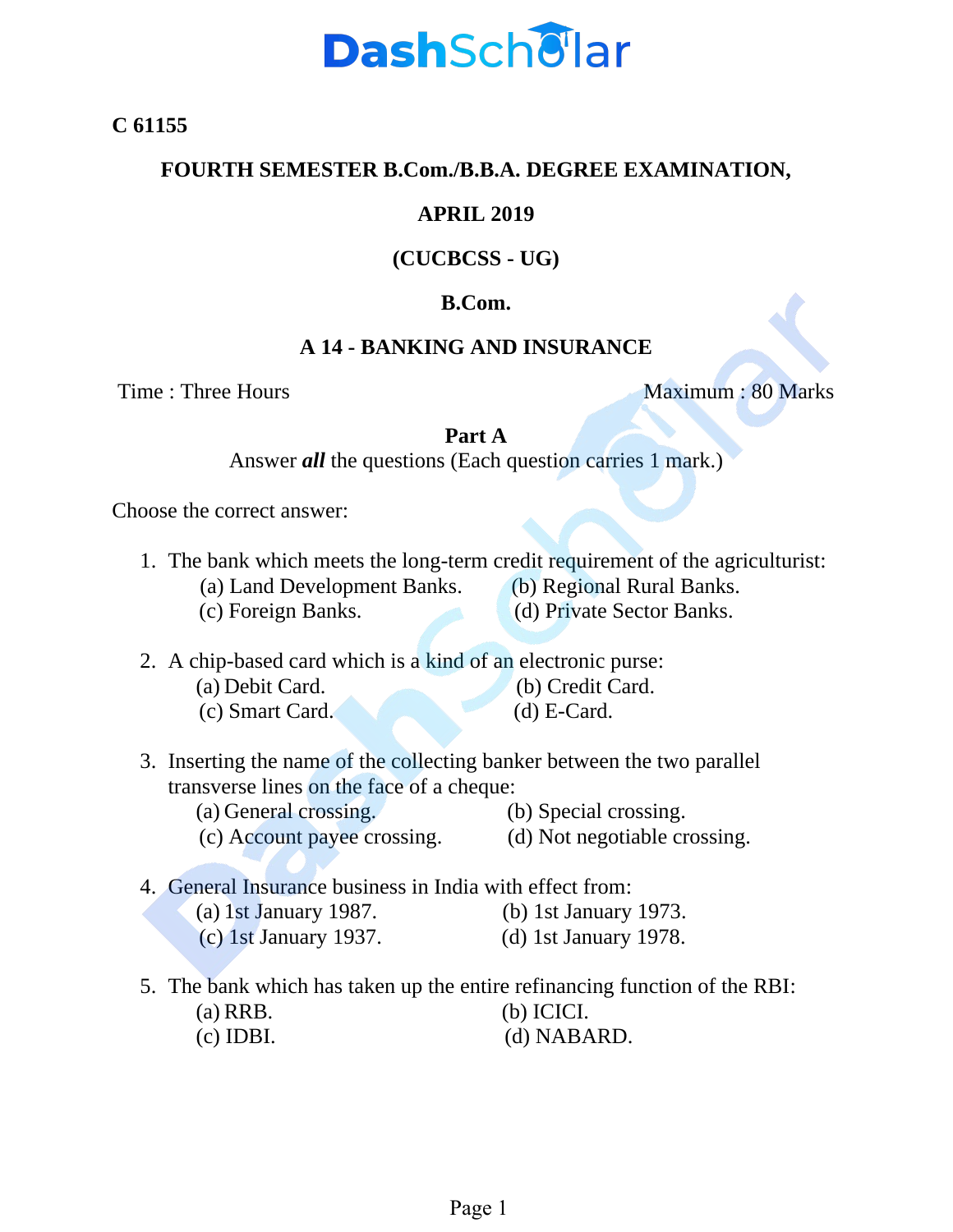

**C 61155**

#### **FOURTH SEMESTER B.Com./B.B.A. DEGREE EXAMINATION,**

### **APRIL 2019**

# **(CUCBCSS - UG)**

# **B.Com.**

## **A 14 - BANKING AND INSURANCE**

Time : Three Hours Maximum : 80 Marks

#### **Part A**

Answer *all* the questions (Each question carries 1 mark.)

Choose the correct answer:

- 1. The bank which meets the long-term credit requirement of the agriculturist:
	- (a) Land Development Banks. (b) Regional Rural Banks.
		-
	- (c) Foreign Banks. (d) Private Sector Banks.
- 2. A chip-based card which is a kind of an electronic purse: (a) Debit Card. (b) Credit Card. (c) Smart Card. (d) E-Card.
- 3. Inserting the name of the collecting banker between the two parallel transverse lines on the face of a cheque:
	- (a) General crossing. (b) Special crossing.
- - (c) Account payee crossing. (d) Not negotiable crossing.

4. General Insurance business in India with effect from:

- (a) 1st January 1987. (b) 1st January 1973.
	-
- (c) 1st January 1937. (d) 1st January 1978.
- 
- 5. The bank which has taken up the entire refinancing function of the RBI: (a) RRB. (b) ICICI. (c) IDBI. (d) NABARD.
	-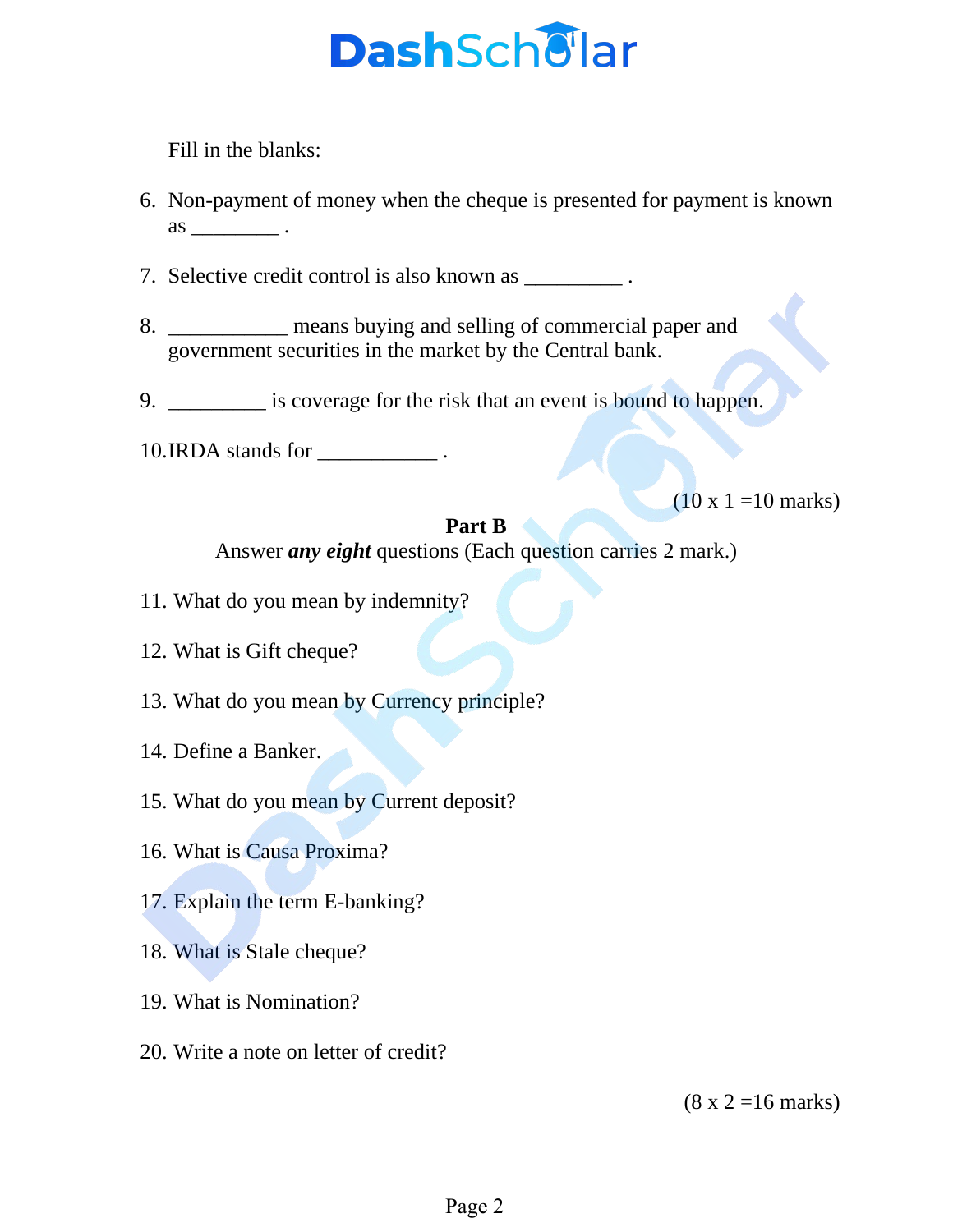# **Dash**Schellar

Fill in the blanks:

6. Non-payment of money when the cheque is presented for payment is known  $\qquad \qquad \text{as} \qquad \qquad .$ 

7. Selective credit control is also known as \_\_\_\_\_\_\_\_\_\_.

- 8. \_\_\_\_\_\_\_\_\_\_\_ means buying and selling of commercial paper and government securities in the market by the Central bank.
- 9. \_\_\_\_\_\_\_\_\_ is coverage for the risk that an event is bound to happen.
- 10.IRDA stands for \_\_\_\_\_\_\_\_\_\_\_ .

 $(10 \times 1 = 10 \text{ marks})$ 

# **Part B**

Answer *any eight* questions (Each question carries 2 mark.)

- 11. What do you mean by indemnity?
- 12. What is Gift cheque?
- 13. What do you mean by Currency principle?
- 14. Define a Banker.
- 15. What do you mean by Current deposit?
- 16. What is Causa Proxima?
- 17. Explain the term E-banking?
- 18. What is Stale cheque?
- 19. What is Nomination?
- 20. Write a note on letter of credit?

 $(8 \times 2 = 16 \text{ marks})$